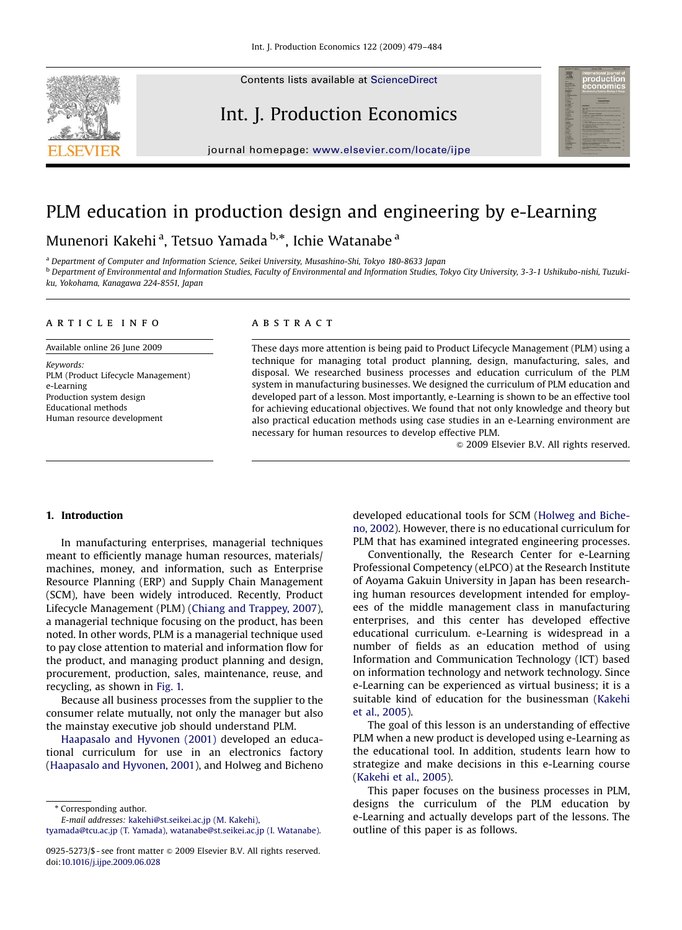Contents lists available at [ScienceDirect](www.sciencedirect.com/science/journal/proeco)



journal homepage: <www.elsevier.com/locate/ijpe>

Int. J. Production Economics

## PLM education in production design and engineering by e-Learning

### Munenori Kakehi<sup>a</sup>, Tetsuo Yamada <sup>b,</sup>\*, Ichie Watanabe <sup>a</sup>

<sup>a</sup> Department of Computer and Information Science, Seikei University, Musashino-Shi, Tokyo 180-8633 Japan **b** Department of Environmental and Information Studies, Faculty of Environmental and Information Studies, Tokyo City University, 3-3-1 Ushikubo-nishi, Tuzukiku, Yokohama, Kanagawa 224-8551, Japan

#### article info

Available online 26 June 2009

Keywords: PLM (Product Lifecycle Management) e-Learning Production system design Educational methods Human resource development

### **ABSTRACT**

These days more attention is being paid to Product Lifecycle Management (PLM) using a technique for managing total product planning, design, manufacturing, sales, and disposal. We researched business processes and education curriculum of the PLM system in manufacturing businesses. We designed the curriculum of PLM education and developed part of a lesson. Most importantly, e-Learning is shown to be an effective tool for achieving educational objectives. We found that not only knowledge and theory but also practical education methods using case studies in an e-Learning environment are necessary for human resources to develop effective PLM.

 $\odot$  2009 Elsevier B.V. All rights reserved.

#### 1. Introduction

In manufacturing enterprises, managerial techniques meant to efficiently manage human resources, materials/ machines, money, and information, such as Enterprise Resource Planning (ERP) and Supply Chain Management (SCM), have been widely introduced. Recently, Product Lifecycle Management (PLM) [\(Chiang and Trappey, 2007](#page--1-0)), a managerial technique focusing on the product, has been noted. In other words, PLM is a managerial technique used to pay close attention to material and information flow for the product, and managing product planning and design, procurement, production, sales, maintenance, reuse, and recycling, as shown in [Fig. 1.](#page-1-0)

Because all business processes from the supplier to the consumer relate mutually, not only the manager but also the mainstay executive job should understand PLM.

[Haapasalo and Hyvonen \(2001\)](#page--1-0) developed an educational curriculum for use in an electronics factory ([Haapasalo and Hyvonen, 2001\)](#page--1-0), and Holweg and Bicheno

\* Corresponding author.

E-mail addresses: [kakehi@st.seikei.ac.jp \(M. Kakehi\)](mailto:kakehi@st.seikei.ac.jp),

[tyamada@tcu.ac.jp \(T. Yamada\)](mailto:tyamada@tcu.ac.jp), [watanabe@st.seikei.ac.jp \(I. Watanabe\).](mailto:watanabe@st.seikei.ac.jp)

developed educational tools for SCM ([Holweg and Biche](#page--1-0)[no, 2002\)](#page--1-0). However, there is no educational curriculum for PLM that has examined integrated engineering processes.

Conventionally, the Research Center for e-Learning Professional Competency (eLPCO) at the Research Institute of Aoyama Gakuin University in Japan has been researching human resources development intended for employees of the middle management class in manufacturing enterprises, and this center has developed effective educational curriculum. e-Learning is widespread in a number of fields as an education method of using Information and Communication Technology (ICT) based on information technology and network technology. Since e-Learning can be experienced as virtual business; it is a suitable kind of education for the businessman [\(Kakehi](#page--1-0) [et al., 2005\)](#page--1-0).

The goal of this lesson is an understanding of effective PLM when a new product is developed using e-Learning as the educational tool. In addition, students learn how to strategize and make decisions in this e-Learning course [\(Kakehi et al., 2005\)](#page--1-0).

This paper focuses on the business processes in PLM, designs the curriculum of the PLM education by e-Learning and actually develops part of the lessons. The outline of this paper is as follows.

<sup>0925-5273/\$ -</sup> see front matter  $\circ$  2009 Elsevier B.V. All rights reserved. doi:[10.1016/j.ijpe.2009.06.028](dx.doi.org/10.1016/j.ijpe.2009.06.028)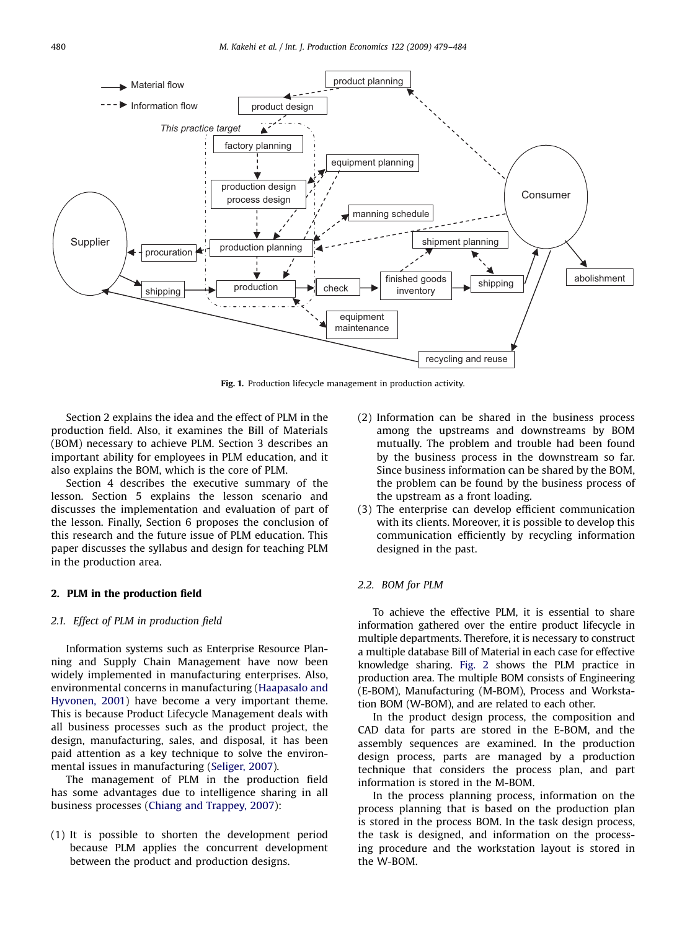<span id="page-1-0"></span>

Fig. 1. Production lifecycle management in production activity.

Section 2 explains the idea and the effect of PLM in the production field. Also, it examines the Bill of Materials (BOM) necessary to achieve PLM. Section 3 describes an important ability for employees in PLM education, and it also explains the BOM, which is the core of PLM.

Section 4 describes the executive summary of the lesson. Section 5 explains the lesson scenario and discusses the implementation and evaluation of part of the lesson. Finally, Section 6 proposes the conclusion of this research and the future issue of PLM education. This paper discusses the syllabus and design for teaching PLM in the production area.

#### 2. PLM in the production field

#### 2.1. Effect of PLM in production field

Information systems such as Enterprise Resource Planning and Supply Chain Management have now been widely implemented in manufacturing enterprises. Also, environmental concerns in manufacturing [\(Haapasalo and](#page--1-0) [Hyvonen, 2001](#page--1-0)) have become a very important theme. This is because Product Lifecycle Management deals with all business processes such as the product project, the design, manufacturing, sales, and disposal, it has been paid attention as a key technique to solve the environmental issues in manufacturing ([Seliger, 2007](#page--1-0)).

The management of PLM in the production field has some advantages due to intelligence sharing in all business processes ([Chiang and Trappey, 2007](#page--1-0)):

(1) It is possible to shorten the development period because PLM applies the concurrent development between the product and production designs.

- (2) Information can be shared in the business process among the upstreams and downstreams by BOM mutually. The problem and trouble had been found by the business process in the downstream so far. Since business information can be shared by the BOM, the problem can be found by the business process of the upstream as a front loading.
- (3) The enterprise can develop efficient communication with its clients. Moreover, it is possible to develop this communication efficiently by recycling information designed in the past.

#### 2.2. BOM for PLM

To achieve the effective PLM, it is essential to share information gathered over the entire product lifecycle in multiple departments. Therefore, it is necessary to construct a multiple database Bill of Material in each case for effective knowledge sharing. [Fig. 2](#page--1-0) shows the PLM practice in production area. The multiple BOM consists of Engineering (E-BOM), Manufacturing (M-BOM), Process and Workstation BOM (W-BOM), and are related to each other.

In the product design process, the composition and CAD data for parts are stored in the E-BOM, and the assembly sequences are examined. In the production design process, parts are managed by a production technique that considers the process plan, and part information is stored in the M-BOM.

In the process planning process, information on the process planning that is based on the production plan is stored in the process BOM. In the task design process, the task is designed, and information on the processing procedure and the workstation layout is stored in the W-BOM.